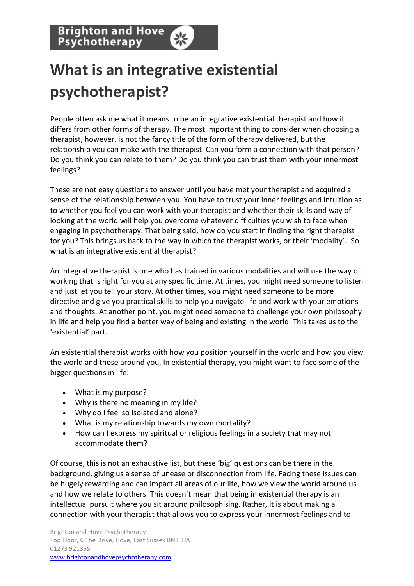**Brighton and Hove** Psychotherapy

## **What is an integrative existential psychotherapist?**

People often ask me what it means to be an integrative existential therapist and how it differs from other forms of therapy. The most important thing to consider when choosing a therapist, however, is not the fancy title of the form of therapy delivered, but the relationship you can make with the therapist. Can you form a connection with that person? Do you think you can relate to them? Do you think you can trust them with your innermost feelings?

These are not easy questions to answer until you have met your therapist and acquired a sense of the relationship between you. You have to trust your inner feelings and intuition as to whether you feel you can work with your therapist and whether their skills and way of looking at the world will help you overcome whatever difficulties you wish to face when engaging in psychotherapy. That being said, how do you start in finding the right therapist for you? This brings us back to the way in which the therapist works, or their 'modality'. So what is an integrative existential therapist?

An integrative therapist is one who has trained in various modalities and will use the way of working that is right for you at any specific time. At times, you might need someone to listen and just let you tell your story. At other times, you might need someone to be more directive and give you practical skills to help you navigate life and work with your emotions and thoughts. At another point, you might need someone to challenge your own philosophy in life and help you find a better way of being and existing in the world. This takes us to the 'existential' part.

An existential therapist works with how you position yourself in the world and how you view the world and those around you. In existential therapy, you might want to face some of the bigger questions in life:

- What is my purpose?
- Why is there no meaning in my life?
- Why do I feel so isolated and alone?
- What is my relationship towards my own mortality?
- How can I express my spiritual or religious feelings in a society that may not accommodate them?

Of course, this is not an exhaustive list, but these 'big' questions can be there in the background, giving us a sense of unease or disconnection from life. Facing these issues can be hugely rewarding and can impact all areas of our life, how we view the world around us and how we relate to others. This doesn't mean that being in existential therapy is an intellectual pursuit where you sit around philosophising. Rather, it is about making a connection with your therapist that allows you to express your innermost feelings and to